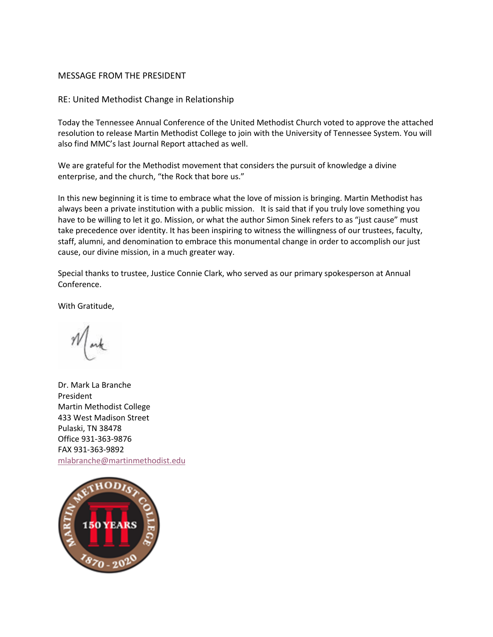## MESSAGE FROM THE PRESIDENT

RE: United Methodist Change in Relationship

Today the Tennessee Annual Conference of the United Methodist Church voted to approve the attached resolution to release Martin Methodist College to join with the University of Tennessee System. You will also find MMC's last Journal Report attached as well.

We are grateful for the Methodist movement that considers the pursuit of knowledge a divine enterprise, and the church, "the Rock that bore us."

In this new beginning it is time to embrace what the love of mission is bringing. Martin Methodist has always been a private institution with a public mission. It is said that if you truly love something you have to be willing to let it go. Mission, or what the author Simon Sinek refers to as "just cause" must take precedence over identity. It has been inspiring to witness the willingness of our trustees, faculty, staff, alumni, and denomination to embrace this monumental change in order to accomplish our just cause, our divine mission, in a much greater way.

Special thanks to trustee, Justice Connie Clark, who served as our primary spokesperson at Annual Conference.

With Gratitude,

Dr. Mark La Branche President Martin Methodist College 433 West Madison Street Pulaski, TN 38478 Office 931-363-9876 FAX 931-363-9892 mlabranche@martinmethodist.edu

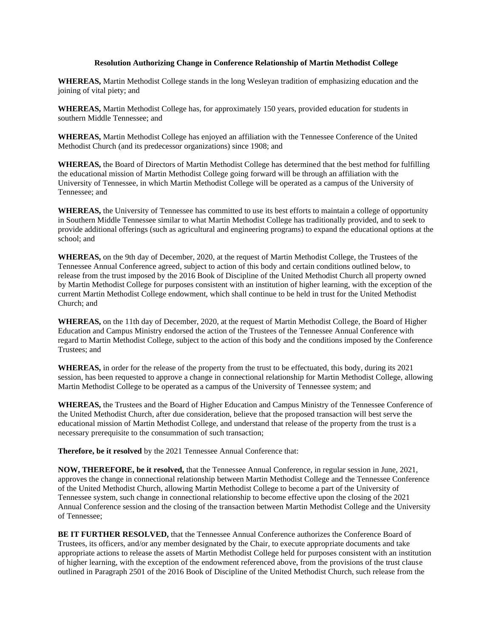## **Resolution Authorizing Change in Conference Relationship of Martin Methodist College**

**WHEREAS,** Martin Methodist College stands in the long Wesleyan tradition of emphasizing education and the joining of vital piety; and

**WHEREAS,** Martin Methodist College has, for approximately 150 years, provided education for students in southern Middle Tennessee; and

**WHEREAS,** Martin Methodist College has enjoyed an affiliation with the Tennessee Conference of the United Methodist Church (and its predecessor organizations) since 1908; and

**WHEREAS,** the Board of Directors of Martin Methodist College has determined that the best method for fulfilling the educational mission of Martin Methodist College going forward will be through an affiliation with the University of Tennessee, in which Martin Methodist College will be operated as a campus of the University of Tennessee; and

**WHEREAS,** the University of Tennessee has committed to use its best efforts to maintain a college of opportunity in Southern Middle Tennessee similar to what Martin Methodist College has traditionally provided, and to seek to provide additional offerings (such as agricultural and engineering programs) to expand the educational options at the school; and

**WHEREAS,** on the 9th day of December, 2020, at the request of Martin Methodist College, the Trustees of the Tennessee Annual Conference agreed, subject to action of this body and certain conditions outlined below, to release from the trust imposed by the 2016 Book of Discipline of the United Methodist Church all property owned by Martin Methodist College for purposes consistent with an institution of higher learning, with the exception of the current Martin Methodist College endowment, which shall continue to be held in trust for the United Methodist Church; and

**WHEREAS,** on the 11th day of December, 2020, at the request of Martin Methodist College, the Board of Higher Education and Campus Ministry endorsed the action of the Trustees of the Tennessee Annual Conference with regard to Martin Methodist College, subject to the action of this body and the conditions imposed by the Conference Trustees; and

**WHEREAS,** in order for the release of the property from the trust to be effectuated, this body, during its 2021 session, has been requested to approve a change in connectional relationship for Martin Methodist College, allowing Martin Methodist College to be operated as a campus of the University of Tennessee system; and

**WHEREAS,** the Trustees and the Board of Higher Education and Campus Ministry of the Tennessee Conference of the United Methodist Church, after due consideration, believe that the proposed transaction will best serve the educational mission of Martin Methodist College, and understand that release of the property from the trust is a necessary prerequisite to the consummation of such transaction;

**Therefore, be it resolved** by the 2021 Tennessee Annual Conference that:

**NOW, THEREFORE, be it resolved,** that the Tennessee Annual Conference, in regular session in June, 2021, approves the change in connectional relationship between Martin Methodist College and the Tennessee Conference of the United Methodist Church, allowing Martin Methodist College to become a part of the University of Tennessee system, such change in connectional relationship to become effective upon the closing of the 2021 Annual Conference session and the closing of the transaction between Martin Methodist College and the University of Tennessee;

**BE IT FURTHER RESOLVED,** that the Tennessee Annual Conference authorizes the Conference Board of Trustees, its officers, and/or any member designated by the Chair, to execute appropriate documents and take appropriate actions to release the assets of Martin Methodist College held for purposes consistent with an institution of higher learning, with the exception of the endowment referenced above, from the provisions of the trust clause outlined in Paragraph 2501 of the 2016 Book of Discipline of the United Methodist Church, such release from the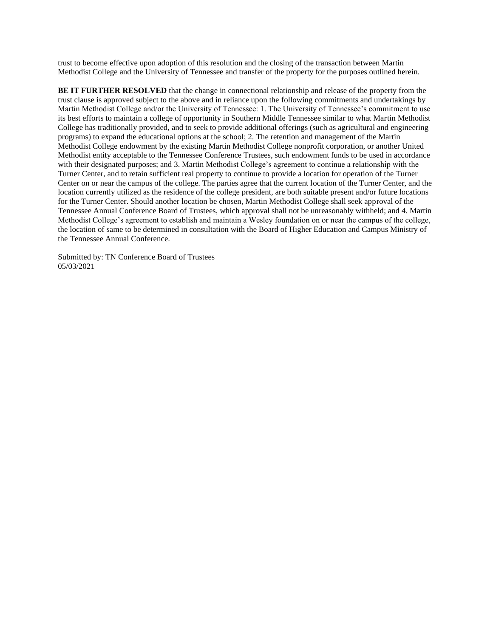trust to become effective upon adoption of this resolution and the closing of the transaction between Martin Methodist College and the University of Tennessee and transfer of the property for the purposes outlined herein.

**BE IT FURTHER RESOLVED** that the change in connectional relationship and release of the property from the trust clause is approved subject to the above and in reliance upon the following commitments and undertakings by Martin Methodist College and/or the University of Tennessee: 1. The University of Tennessee's commitment to use its best efforts to maintain a college of opportunity in Southern Middle Tennessee similar to what Martin Methodist College has traditionally provided, and to seek to provide additional offerings (such as agricultural and engineering programs) to expand the educational options at the school; 2. The retention and management of the Martin Methodist College endowment by the existing Martin Methodist College nonprofit corporation, or another United Methodist entity acceptable to the Tennessee Conference Trustees, such endowment funds to be used in accordance with their designated purposes; and 3. Martin Methodist College's agreement to continue a relationship with the Turner Center, and to retain sufficient real property to continue to provide a location for operation of the Turner Center on or near the campus of the college. The parties agree that the current location of the Turner Center, and the location currently utilized as the residence of the college president, are both suitable present and/or future locations for the Turner Center. Should another location be chosen, Martin Methodist College shall seek approval of the Tennessee Annual Conference Board of Trustees, which approval shall not be unreasonably withheld; and 4. Martin Methodist College's agreement to establish and maintain a Wesley foundation on or near the campus of the college, the location of same to be determined in consultation with the Board of Higher Education and Campus Ministry of the Tennessee Annual Conference.

Submitted by: TN Conference Board of Trustees 05/03/2021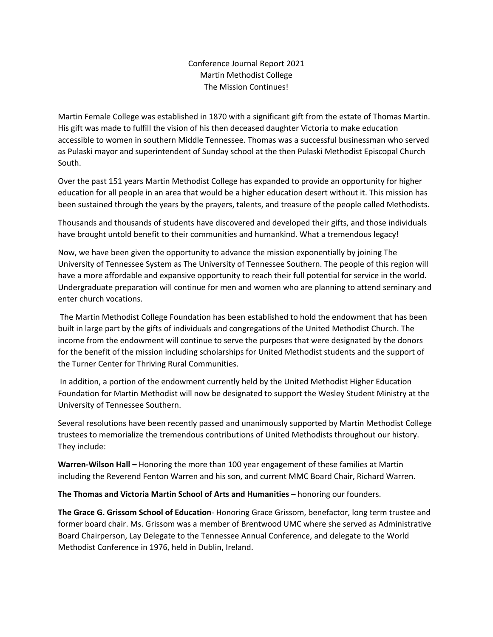## Conference Journal Report 2021 Martin Methodist College The Mission Continues!

Martin Female College was established in 1870 with a significant gift from the estate of Thomas Martin. His gift was made to fulfill the vision of his then deceased daughter Victoria to make education accessible to women in southern Middle Tennessee. Thomas was a successful businessman who served as Pulaski mayor and superintendent of Sunday school at the then Pulaski Methodist Episcopal Church South.

Over the past 151 years Martin Methodist College has expanded to provide an opportunity for higher education for all people in an area that would be a higher education desert without it. This mission has been sustained through the years by the prayers, talents, and treasure of the people called Methodists.

Thousands and thousands of students have discovered and developed their gifts, and those individuals have brought untold benefit to their communities and humankind. What a tremendous legacy!

Now, we have been given the opportunity to advance the mission exponentially by joining The University of Tennessee System as The University of Tennessee Southern. The people of this region will have a more affordable and expansive opportunity to reach their full potential for service in the world. Undergraduate preparation will continue for men and women who are planning to attend seminary and enter church vocations.

The Martin Methodist College Foundation has been established to hold the endowment that has been built in large part by the gifts of individuals and congregations of the United Methodist Church. The income from the endowment will continue to serve the purposes that were designated by the donors for the benefit of the mission including scholarships for United Methodist students and the support of the Turner Center for Thriving Rural Communities.

In addition, a portion of the endowment currently held by the United Methodist Higher Education Foundation for Martin Methodist will now be designated to support the Wesley Student Ministry at the University of Tennessee Southern.

Several resolutions have been recently passed and unanimously supported by Martin Methodist College trustees to memorialize the tremendous contributions of United Methodists throughout our history. They include:

**Warren-Wilson Hall –** Honoring the more than 100 year engagement of these families at Martin including the Reverend Fenton Warren and his son, and current MMC Board Chair, Richard Warren.

**The Thomas and Victoria Martin School of Arts and Humanities** – honoring our founders.

**The Grace G. Grissom School of Education**- Honoring Grace Grissom, benefactor, long term trustee and former board chair. Ms. Grissom was a member of Brentwood UMC where she served as Administrative Board Chairperson, Lay Delegate to the Tennessee Annual Conference, and delegate to the World Methodist Conference in 1976, held in Dublin, Ireland.